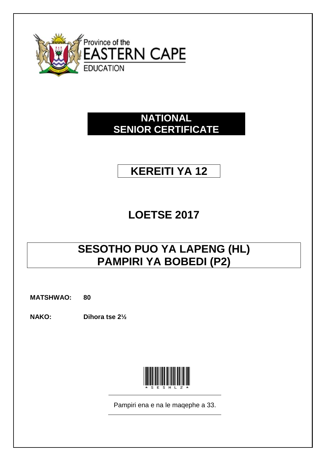

# **NATIONAL SENIOR CERTIFICATE**

# **KEREITI YA 12**

# **LOETSE 2017**

# **SESOTHO PUO YA LAPENG (HL) PAMPIRI YA BOBEDI (P2)**

**MATSHWAO: 80**

**NAKO: Dihora tse 2½**



Pampiri ena e na le maqephe a 33.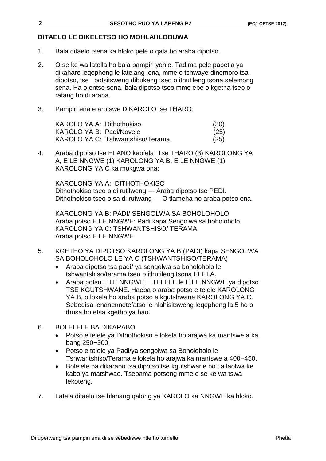# **DITAELO LE DIKELETSO HO MOHLAHLOBUWA**

- 1. Bala ditaelo tsena ka hloko pele o qala ho araba dipotso.
- 2. O se ke wa latella ho bala pampiri yohle. Tadima pele papetla ya dikahare leqepheng le latelang lena, mme o tshwaye dinomoro tsa dipotso, tse botsitsweng dibukeng tseo o ithutileng tsona selemong sena. Ha o entse sena, bala dipotso tseo mme ebe o kgetha tseo o ratang ho di araba.
- 3. Pampiri ena e arotswe DIKAROLO tse THARO:

KAROLO YA A: Dithothokiso (30) KAROLO YA B: Padi/Novele (25) KAROLO YA C: Tshwantshiso/Terama (25)

4. Araba dipotso tse HLANO kaofela: Tse THARO (3) KAROLONG YA A, E LE NNGWE (1) KAROLONG YA B, E LE NNGWE (1) KAROLONG YA C ka mokgwa ona:

KAROLONG YA A: DITHOTHOKISO Dithothokiso tseo o di rutilweng — Araba dipotso tse PEDI. Dithothokiso tseo o sa di rutwang — O tlameha ho araba potso ena.

KAROLONG YA B: PADI/ SENGOLWA SA BOHOLOHOLO Araba potso E LE NNGWE: Padi kapa Sengolwa sa boholoholo KAROLONG YA C: TSHWANTSHISO/ TERAMA Araba potso E LE NNGWE

- 5. KGETHO YA DIPOTSO KAROLONG YA B (PADI) kapa SENGOLWA SA BOHOLOHOLO LE YA C (TSHWANTSHISO/TERAMA)
	- Araba dipotso tsa padi/ ya sengolwa sa boholoholo le tshwantshiso/terama tseo o ithutileng tsona FEELA.
	- Araba potso E LE NNGWE E TELELE le E LE NNGWE ya dipotso TSE KGUTSHWANE. Haeba o araba potso e telele KAROLONG YA B, o lokela ho araba potso e kgutshwane KAROLONG YA C. Sebedisa lenanennetefatso le hlahisitsweng leqepheng la 5 ho o thusa ho etsa kgetho ya hao.
- 6. BOLELELE BA DIKARABO
	- Potso e telele ya Dithothokiso e lokela ho arajwa ka mantswe a ka bang 250−300.
	- Potso e telele ya Padi/ya sengolwa sa Boholoholo le Tshwantshiso/Terama e lokela ho arajwa ka mantswe a 400−450.
	- Bolelele ba dikarabo tsa dipotso tse kgutshwane bo tla laolwa ke kabo ya matshwao. Tsepama potsong mme o se ke wa tswa lekoteng.
- 7. Latela ditaelo tse hlahang qalong ya KAROLO ka NNGWE ka hloko.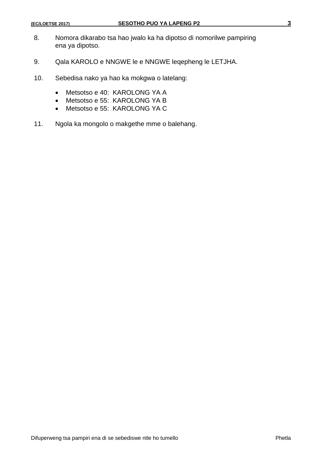- 8. Nomora dikarabo tsa hao jwalo ka ha dipotso di nomorilwe pampiring ena ya dipotso.
- 9. Qala KAROLO e NNGWE le e NNGWE leqepheng le LETJHA.
- 10. Sebedisa nako ya hao ka mokgwa o latelang:
	- Metsotso e 40: KAROLONG YA A
	- Metsotso e 55: KAROLONG YA B
	- Metsotso e 55: KAROLONG YA C
- 11. Ngola ka mongolo o makgethe mme o balehang.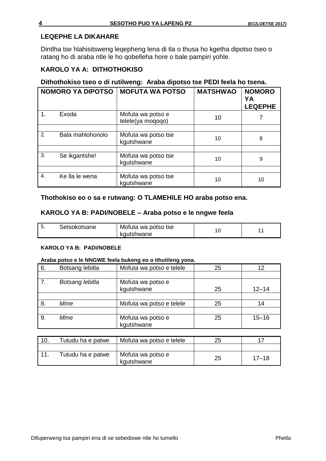# **LEQEPHE LA DIKAHARE**

Dintlha tse hlahisitsweng leqepheng lena di tla o thusa ho kgetha dipotso tseo o ratang ho di araba ntle le ho qobelleha hore o bale pampiri yohle.

# **KAROLO YA A: DITHOTHOKISO**

# **Dithothokiso tseo o di rutilweng: Araba dipotso tse PEDI feela ho tsena.**

|    | <b>NOMORO YA DIPOTSO</b> | <b>MOFUTA WA POTSO</b>                 | <b>MATSHWAO</b> | <b>NOMORO</b><br>YA<br><b>LEQEPHE</b> |
|----|--------------------------|----------------------------------------|-----------------|---------------------------------------|
| 1. | Exoda                    | Mofuta wa potso e<br>telele(ya moqoqo) | 10              |                                       |
|    |                          |                                        |                 |                                       |
| 2. | Bala mahlohonolo         | Mofuta wa potso tse<br>kgutshwane      | 10              | 8                                     |
|    |                          |                                        |                 |                                       |
| 3. | Se ikgantshe!            | Mofuta wa potso tse<br>kgutshwane      | 10              | 9                                     |
|    |                          |                                        |                 |                                       |
| 4. | Ke lla le wena           | Mofuta wa potso tse<br>kgutshwane      | 10              | 10                                    |

# **Thothokiso eo o sa e rutwang: O TLAMEHILE HO araba potso ena.**

# **KAROLO YA B: PADI/NOBELE – Araba potso e le nngwe feela**

| kgutshwane |
|------------|
|------------|

#### **KAROLO YA B: PADI/NOBELE**

#### **Araba potso e le NNGWE feela bukeng eo o ithutileng yona.**

| 6. | Botsang lebitla | Mofuta wa potso e telele        | 25 | 12        |
|----|-----------------|---------------------------------|----|-----------|
|    |                 |                                 |    |           |
| 7. | Botsang lebitla | Mofuta wa potso e<br>kgutshwane | 25 | $12 - 14$ |
|    |                 |                                 |    |           |
| 8. | Mme             | Mofuta wa potso e telele        | 25 | 14        |
|    |                 |                                 |    |           |
| 9. | Mme             | Mofuta wa potso e<br>kgutshwane | 25 | $15 - 16$ |

| 10. | Tutudu ha e patwe | Mofuta wa potso e telele        | 25 |           |
|-----|-------------------|---------------------------------|----|-----------|
|     |                   |                                 |    |           |
|     | Tutudu ha e patwe | Mofuta wa potso e<br>kgutshwane | 25 | $17 - 18$ |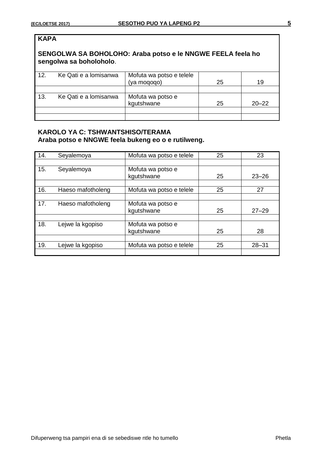| <b>KAPA</b> |                         |                                                             |    |           |
|-------------|-------------------------|-------------------------------------------------------------|----|-----------|
|             | sengolwa sa boholoholo. | SENGOLWA SA BOHOLOHO: Araba potso e le NNGWE FEELA feela ho |    |           |
| 12.         | Ke Qati e a lomisanwa   | Mofuta wa potso e telele<br>(ya moqoqo)                     | 25 | 19        |
|             |                         |                                                             |    |           |
| 13.         | Ke Qati e a lomisanwa   | Mofuta wa potso e<br>kgutshwane                             | 25 | $20 - 22$ |
|             |                         |                                                             |    |           |
|             |                         |                                                             |    |           |

# **KAROLO YA C: TSHWANTSHISO/TERAMA Araba potso e NNGWE feela bukeng eo o e rutilweng.**

| 14. | Seyalemoya        | Mofuta wa potso e telele | 25 | 23        |
|-----|-------------------|--------------------------|----|-----------|
|     |                   |                          |    |           |
| 15. | Seyalemoya        | Mofuta wa potso e        |    |           |
|     |                   | kgutshwane               | 25 | $23 - 26$ |
|     |                   |                          |    |           |
| 16. | Haeso mafotholeng | Mofuta wa potso e telele | 25 | 27        |
|     |                   |                          |    |           |
| 17. | Haeso mafotholeng | Mofuta wa potso e        |    |           |
|     |                   | kgutshwane               | 25 | $27 - 29$ |
|     |                   |                          |    |           |
| 18. | Lejwe la kgopiso  | Mofuta wa potso e        |    |           |
|     |                   | kgutshwane               | 25 | 28        |
|     |                   |                          |    |           |
| 19. | Lejwe la kgopiso  | Mofuta wa potso e telele | 25 | $28 - 31$ |
|     |                   |                          |    |           |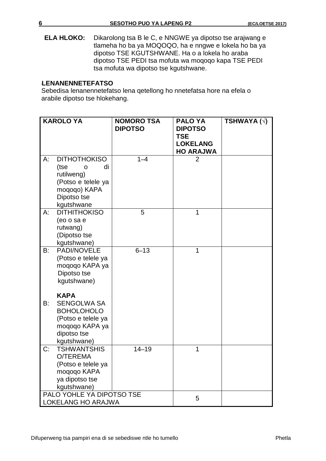**ELA HLOKO:** Dikarolong tsa B le C, e NNGWE ya dipotso tse arajwang e tlameha ho ba ya MOQOQO, ha e nngwe e lokela ho ba ya dipotso TSE KGUTSHWANE. Ha o a lokela ho araba dipotso TSE PEDI tsa mofuta wa moqoqo kapa TSE PEDI tsa mofuta wa dipotso tse kgutshwane.

## **LELSLENANENNETEFATSO**

Sebedisa lenanennetefatso lena qetellong ho nnetefatsa hore na efela o arabile dipotso tse hlokehang.

|    | <b>KAROLO YA</b>                                                                                                             | <b>NOMORO TSA</b><br><b>DIPOTSO</b> | <b>PALO YA</b><br><b>DIPOTSO</b><br><b>TSE</b><br><b>LOKELANG</b><br><b>HO ARAJWA</b> | TSHWAYA ( $\sqrt{ }$ ) |
|----|------------------------------------------------------------------------------------------------------------------------------|-------------------------------------|---------------------------------------------------------------------------------------|------------------------|
| A: | <b>DITHOTHOKISO</b><br>di<br>(tse<br>O<br>rutilweng)<br>(Potso e telele ya<br>moqoqo) KAPA<br>Dipotso tse<br>kgutshwane      | $1 - 4$                             | 2                                                                                     |                        |
| A: | <b>DITHITHOKISO</b><br>(eo o sa e<br>rutwang)<br>(Dipotso tse<br>kgutshwane)                                                 | 5                                   | 1                                                                                     |                        |
| B: | PADI/NOVELE<br>(Potso e telele ya<br>mogogo KAPA ya<br>Dipotso tse<br>kgutshwane)                                            | $6 - 13$                            | 1                                                                                     |                        |
| B: | <b>KAPA</b><br><b>SENGOLWA SA</b><br><b>BOHOLOHOLO</b><br>(Potso e telele ya<br>moqoqo KAPA ya<br>dipotso tse<br>kgutshwane) |                                     |                                                                                       |                        |
| C: | <b>TSHWANTSHIS</b><br>O/TEREMA<br>(Potso e telele ya<br>moqoqo KAPA<br>ya dipotso tse<br>kgutshwane)                         | $14 - 19$                           | 1                                                                                     |                        |
|    | PALO YOHLE YA DIPOTSO TSE<br>LOKELANG HO ARAJWA                                                                              |                                     | 5                                                                                     |                        |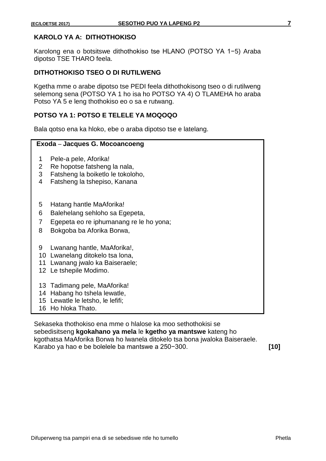# **KAROLO YA A: DITHOTHOKISO**

Karolong ena o botsitswe dithothokiso tse HLANO (POTSO YA 1−5) Araba dipotso TSE THARO feela.

## **DITHOTHOKISO TSEO O DI RUTILWENG**

Kgetha mme o arabe dipotso tse PEDI feela dithothokisong tseo o di rutilweng selemong sena (POTSO YA 1 ho isa ho POTSO YA 4) O TLAMEHA ho araba Potso YA 5 e leng thothokiso eo o sa e rutwang.

## **POTSO YA 1: POTSO E TELELE YA MOQOQO**

Bala qotso ena ka hloko, ebe o araba dipotso tse e latelang.

#### **Exoda** – **Jacques G. Mocoancoeng**

- 1 Pele-a pele, Aforika!
- 2 Re hopotse fatsheng la nala,
- 3 Fatsheng la boiketlo le tokoloho,
- 4 Fatsheng la tshepiso, Kanana
- 5 Hatang hantle MaAforika!
- 6 Balehelang sehloho sa Egepeta,
- 7 Egepeta eo re iphumanang re le ho yona;
- 8 Bokgoba ba Aforika Borwa,
- 9 Lwanang hantle, MaAforika!,
- 10 Lwanelang ditokelo tsa lona,
- 11 Lwanang jwalo ka Baiseraele;
- 12 Le tshepile Modimo.
- 13 Tadimang pele, MaAforika!
- 14 Habang ho tshela lewatle,
- 15 Lewatle le letsho, le lefifi;
- 16 Ho hloka Thato.

Sekaseka thothokiso ena mme o hlalose ka moo sethothokisi se sebedisitseng **kgokahano ya mela** le **kgetho ya mantswe** kateng ho kgothatsa MaAforika Borwa ho lwanela ditokelo tsa bona jwaloka Baiseraele. Karabo ya hao e be bolelele ba mantswe a 250−300. **[10]**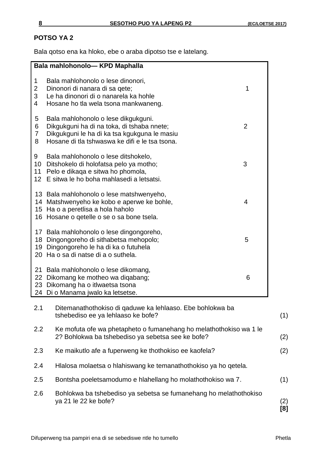# **POTSO YA 2**

Bala qotso ena ka hloko, ebe o araba dipotso tse e latelang.

| Bala mahlohonolo-KPD Maphalla                                                                                                                                                                           |                |
|---------------------------------------------------------------------------------------------------------------------------------------------------------------------------------------------------------|----------------|
| Bala mahlohonolo o lese dinonori,<br>1<br>2<br>Dinonori di nanara di sa qete;<br>3<br>Le ha dinonori di o nanarela ka hohle<br>4<br>Hosane ho tla wela tsona mankwaneng.                                | 1              |
| 5<br>Bala mahlohonolo o lese dikgukguni.<br>6<br>Dikgukguni ha di na toka, di tshaba nnete;<br>7<br>Dikgukguni le ha di ka tsa kgukguna le masiu<br>Hosane di tla tshwaswa ke difi e le tsa tsona.<br>8 | $\overline{2}$ |
| 9<br>Bala mahlohonolo o lese ditshokelo,<br>10<br>Ditshokelo di holofatsa pelo ya motho;<br>Pelo e dikaga e sitwa ho phomola,<br>11<br>E sitwa le ho boha mahlasedi a letsatsi.<br>12                   | 3              |
| 13 Bala mahlohonolo o lese matshwenyeho,<br>14 Matshwenyeho ke kobo e aperwe ke bohle,<br>Ha o a peretlisa a hola haholo<br>15<br>Hosane o qetelle o se o sa bone tsela.<br>16                          | 4              |
| 17 Bala mahlohonolo o lese dingongoreho,<br>Dingongoreho di sithabetsa mehopolo;<br>18<br>Dingongoreho le ha di ka o futuhela<br>19<br>Ha o sa di natse di a o suthela.<br>20                           | 5              |
| Bala mahlohonolo o lese dikomang,<br>21<br>Dikomang ke motheo wa diqabang;<br>22 <sub>2</sub><br>Dikomang ha o itlwaetsa tsona<br>23<br>Di o Manama jwalo ka letsetse.<br>24                            | 6              |
| 2.1<br>Ditemanathothokiso di qaduwe ka lehlaaso. Ebe bohlokwa ba<br>tshebediso ee ya lehlaaso ke bofe?                                                                                                  |                |
| 2.2<br>Ke mofuta ofe wa phetapheto o fumanehang ho melathothokiso wa 1 le<br>2? Bohlokwa ba tshebediso ya sebetsa see ke bofe?                                                                          |                |
| Ke maikutlo afe a fuperweng ke thothokiso ee kaofela?<br>2.3                                                                                                                                            |                |
| Hlalosa molaetsa o hlahiswang ke temanathothokiso ya ho qetela.<br>2.4                                                                                                                                  |                |
| Bontsha poeletsamodumo e hlahellang ho molathothokiso wa 7.<br>2.5                                                                                                                                      |                |
| Bohlokwa ba tshebediso ya sebetsa se fumanehang ho melathothokiso<br>2.6<br>ya 21 le 22 ke bofe?                                                                                                        |                |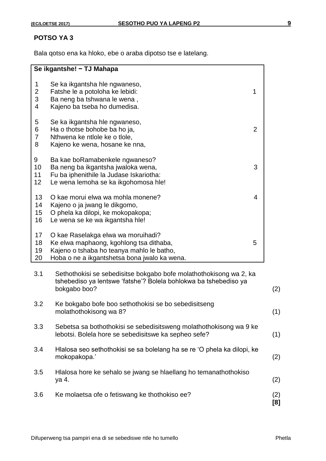## **POTSO YA 3**

Bala qotso ena ka hloko, ebe o araba dipotso tse e latelang.

|                               | Se ikgantshe! - TJ Mahapa                                                                                                                                                       |            |
|-------------------------------|---------------------------------------------------------------------------------------------------------------------------------------------------------------------------------|------------|
| 1<br>$\overline{c}$<br>3<br>4 | Se ka ikgantsha hle ngwaneso,<br>Fatshe le a potoloha ke lebidi:<br>1<br>Ba neng ba tshwana le wena,<br>Kajeno ba tseba ho dumedisa.                                            |            |
| 5<br>6<br>$\overline{7}$<br>8 | Se ka ikgantsha hle ngwaneso,<br>$\overline{2}$<br>Ha o thotse bohobe ba ho ja,<br>Nthwena ke ntlole ke o tlole,<br>Kajeno ke wena, hosane ke nna,                              |            |
| 9<br>10<br>11<br>12           | Ba kae boRamabenkele ngwaneso?<br>Ba neng ba ikgantsha jwaloka wena,<br>Fu ba iphenithile la Judase Iskariotha:<br>Le wena lemoha se ka ikgohomosa hle!                         | 3          |
| 13<br>14<br>15<br>16          | O kae morui elwa wa mohla monene?<br>Kajeno o ja jwang le dikgomo,<br>O phela ka dilopi, ke mokopakopa;<br>Le wena se ke wa ikgantsha hle!                                      | 4          |
| 17<br>18<br>19<br>20          | O kae Raselakga elwa wa moruihadi?<br>Ke elwa maphaong, kgohlong tsa dithaba,<br>5<br>Kajeno o tshaba ho teanya mahlo le batho,<br>Hoba o ne a ikgantshetsa bona jwalo ka wena. |            |
| 3.1                           | Sethothokisi se sebedisitse bokgabo bofe molathothokisong wa 2, ka<br>tshebediso ya lentswe 'fatshe'? Bolela bohlokwa ba tshebediso ya<br>bokgabo boo?                          | (2)        |
| 3.2                           | Ke bokgabo bofe boo sethothokisi se bo sebedisitseng<br>molathothokisong wa 8?                                                                                                  | (1)        |
| 3.3                           | Sebetsa sa bothothokisi se sebedisitsweng molathothokisong wa 9 ke<br>lebotsi. Bolela hore se sebedisitswe ka sepheo sefe?                                                      | (1)        |
| 3.4                           | Hlalosa seo sethothokisi se sa bolelang ha se re 'O phela ka dilopi, ke<br>mokopakopa.'                                                                                         | (2)        |
| 3.5                           | Hlalosa hore ke sehalo se jwang se hlaellang ho temanathothokiso<br>ya 4.                                                                                                       | (2)        |
| 3.6                           | Ke molaetsa ofe o fetiswang ke thothokiso ee?                                                                                                                                   | (2)<br>[8] |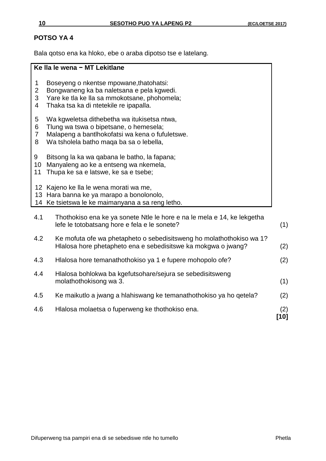# **POTSO YA 4**

Bala qotso ena ka hloko, ebe o araba dipotso tse e latelang.

#### **Ke lla le wena − MT Lekitlane**

- 1 Boseyeng o nkentse mpowane,thatohatsi:
- 2 Bongwaneng ka ba naletsana e pela kgwedi.
- 3 Yare ke tla ke lla sa mmokotsane, phohomela;<br>4 Thaka tsa ka di ntetekile re ipapalla.
- Thaka tsa ka di ntetekile re ipapalla.
- 5 Wa kgweletsa dithebetha wa itukisetsa ntwa,
- 6 Tlung wa tswa o bipetsane, o hemesela;
- 7 Malapeng a bantlhokofatsi wa kena o fufuletswe.
- 8 Wa tsholela batho maqa ba sa o lebella,
- 9 Bitsong la ka wa qabana le batho, la fapana;
- 10 Manyaleng ao ke a entseng wa nkemela,
- 11 Thupa ke sa e latswe, ke sa e tsebe;
- 12 Kajeno ke lla le wena morati wa me,
- 13 Hara banna ke ya marapo a bonolonolo,
- 14 Ke tsietswa le ke maimanyana a sa reng letho.

| 4.6 | Hlalosa molaetsa o fuperweng ke thothokiso ena.                                                                                       | (2)<br>101 |
|-----|---------------------------------------------------------------------------------------------------------------------------------------|------------|
| 4.5 | Ke maikutio a jwang a hiahiswang ke temanathothokiso ya ho qetela?                                                                    | (2)        |
| 4.4 | Hlalosa bohlokwa ba kgefutsohare/sejura se sebedisitsweng<br>molathothokisong wa 3.                                                   | (1)        |
| 4.3 | Hlalosa hore temanathothokiso ya 1 e fupere mohopolo ofe?                                                                             | (2)        |
| 4.2 | Ke mofuta ofe wa phetapheto o sebedisitsweng ho molathothokiso wa 1?<br>Hlalosa hore phetapheto ena e sebedisitswe ka mokgwa o jwang? | (2)        |
| 4.1 | Thothokiso ena ke ya sonete Ntle le hore e na le mela e 14, ke lekgetha<br>lefe le totobatsang hore e fela e le sonete?               | (1)        |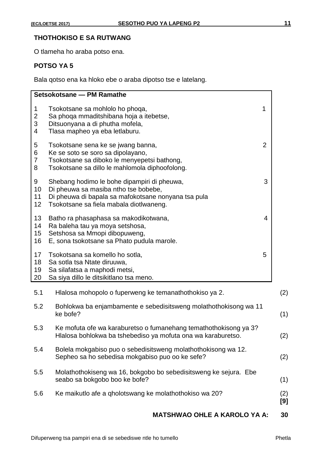# **THOTHOKISO E SA RUTWANG**

O tlameha ho araba potso ena.

# **POTSO YA 5**

Bala qotso ena ka hloko ebe o araba dipotso tse e latelang.

| Setsokotsane - PM Ramathe                                                                                                                                                                                          |                |
|--------------------------------------------------------------------------------------------------------------------------------------------------------------------------------------------------------------------|----------------|
| $\mathbf{1}$<br>Tsokotsane sa mohlolo ho phoqa,<br>$\overline{c}$<br>Sa phoqa mmaditshibana hoja a itebetse,<br>3<br>Ditsuonyana a di phutha mofela,<br>$\overline{\mathcal{A}}$<br>Tlasa mapheo ya eba letlaburu. | 1              |
| 5<br>Tsokotsane sena ke se jwang banna,<br>6<br>Ke se soto se soro sa dipolayano,<br>$\overline{7}$<br>Tsokotsane sa diboko le menyepetsi bathong,<br>8<br>Tsokotsane sa dillo le mahlomola diphoofolong.          | $\overline{2}$ |
| 9<br>Shebang hodimo le bohe dipampiri di pheuwa,<br>10<br>Di pheuwa sa masiba ntho tse bobebe,<br>11<br>Di pheuwa di bapala sa mafokotsane nonyana tsa pula<br>12<br>Tsokotsane sa fiela mabala diotlwaneng.       | 3              |
| 13<br>Batho ra phasaphasa sa makodikotwana,<br>14<br>Ra baleha tau ya moya setshosa,<br>15<br>Setshosa sa Mmopi dibopuweng,<br>E, sona tsokotsane sa Phato pudula marole.<br>16                                    | 4              |
| 17<br>Tsokotsana sa komello ho sotla,<br>18<br>Sa sotla tsa Ntate diruuwa,<br>19<br>Sa silafatsa a maphodi metsi,<br>20<br>Sa siya dillo le ditsikitlano tsa meno.                                                 | 5              |
| 5.1<br>Hlalosa mohopolo o fuperweng ke temanathothokiso ya 2.                                                                                                                                                      |                |
| 5.2<br>Bohlokwa ba enjambamente e sebedisitsweng molathothokisong wa 11<br>ke bofe?                                                                                                                                |                |
| 5.3<br>Ke mofuta ofe wa karaburetso o fumanehang temathothokisong ya 3?<br>Hlalosa bohlokwa ba tshebediso ya mofuta ona wa karaburetso.                                                                            |                |
| Bolela mokgabiso puo o sebedisitsweng molathothokisong wa 12.<br>5.4<br>Sepheo sa ho sebedisa mokgabiso puo oo ke sefe?                                                                                            |                |
| Molathothokiseng wa 16, bokgobo bo sebedisitsweng ke sejura. Ebe<br>5.5<br>seabo sa bokgobo boo ke bofe?                                                                                                           |                |
| 5.6<br>Ke maikutlo afe a gholotswang ke molathothokiso wa 20?                                                                                                                                                      |                |

# **MATSHWAO OHLE A KAROLO YA A: 30**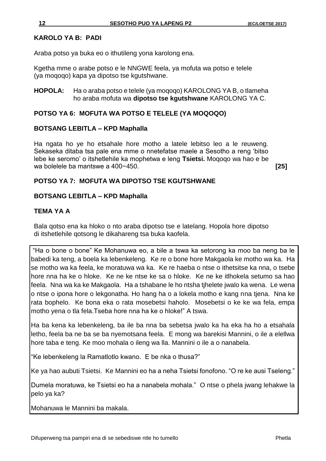## **KAROLO YA B: PADI**

Araba potso ya buka eo o ithutileng yona karolong ena.

Kgetha mme o arabe potso e le NNGWE feela, ya mofuta wa potso e telele (ya moqoqo) kapa ya dipotso tse kgutshwane.

**HOPOLA:** Ha o araba potso e telele (ya moqoqo) KAROLONG YA B, o tlameha ho araba mofuta wa **dipotso tse kgutshwane** KAROLONG YA C.

## **POTSO YA 6: MOFUTA WA POTSO E TELELE (YA MOQOQO)**

#### **BOTSANG LEBITLA – KPD Maphalla**

Ha ngata ho ye ho etsahale hore motho a latele lebitso leo a le reuweng. Sekaseka ditaba tsa pale ena mme o nnetefatse maele a Sesotho a reng 'bitso lebe ke seromo' o itshetlehile ka mophetwa e leng **Tsietsi.** Moqoqo wa hao e be wa bolelele ba mantswe a 400−450. **[25]**

#### **POTSO YA 7: MOFUTA WA DIPOTSO TSE KGUTSHWANE**

#### **BOTSANG LEBITLA – KPD Maphalla**

## **TEMA YA A**

Bala qotso ena ka hloko o nto araba dipotso tse e latelang. Hopola hore dipotso di itshetlehile qotsong le dikahareng tsa buka kaofela.

"Ha o bone o bone" Ke Mohanuwa eo, a bile a tswa ka setorong ka moo ba neng ba le babedi ka teng, a boela ka lebenkeleng. Ke re o bone hore Makgaola ke motho wa ka. Ha se motho wa ka feela, ke moratuwa wa ka. Ke re haeba o ntse o ithetsitse ka nna, o tsebe hore nna ha ke o hloke. Ke ne ke ntse ke sa o hloke. Ke ne ke itlhokela setumo sa hao feela. Nna wa ka ke Makgaola. Ha a tshabane le ho ntsha tjhelete jwalo ka wena. Le wena o ntse o ipona hore o lekgonatha. Ho hang ha o a lokela motho e kang nna tjena. Nna ke rata bophelo. Ke bona eka o rata mosebetsi haholo. Mosebetsi o ke ke wa fela, empa motho yena o tla fela.Tseba hore nna ha ke o hloke!" A tswa.

Ha ba kena ka lebenkeleng, ba ile ba nna ba sebetsa jwalo ka ha eka ha ho a etsahala letho, feela ba ne ba se ba nyemotsana feela. E mong wa barekisi Mannini, o ile a elellwa hore taba e teng. Ke moo mohala o ileng wa lla. Mannini o ile a o nanabela.

"Ke lebenkeleng la Ramatlotlo kwano. E be nka o thusa?"

Ke ya hao aubuti Tsietsi. Ke Mannini eo ha a neha Tsietsi fonofono. "O re ke ausi Tseleng."

Dumela moratuwa, ke Tsietsi eo ha a nanabela mohala." O ntse o phela jwang lehakwe la pelo ya ka?

Mohanuwa le Mannini ba makala.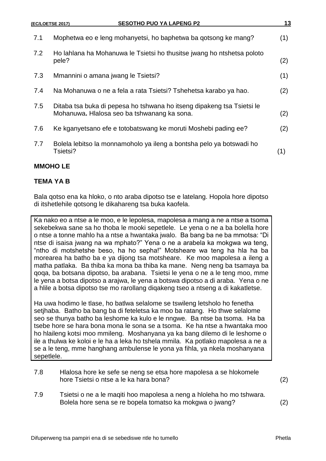| 7.1 | Mophetwa eo e leng mohanyetsi, ho baphetwa ba gotsong ke mang?                                                        | (1) |
|-----|-----------------------------------------------------------------------------------------------------------------------|-----|
| 7.2 | Ho lahlana ha Mohanuwa le Tsietsi ho thusitse jwang ho ntshetsa poloto<br>pele?                                       | (2) |
| 7.3 | Mmannini o amana jwang le Tsietsi?                                                                                    | (1) |
| 7.4 | Na Mohanuwa o ne a fela a rata Tsietsi? Tshehetsa karabo ya hao.                                                      | (2) |
| 7.5 | Ditaba tsa buka di pepesa ho tshwana ho itseng dipakeng tsa Tsietsi le<br>Mohanuwa. Hlalosa seo ba tshwanang ka sona. | (2) |
| 7.6 | Ke kganyetsano efe e totobatswang ke moruti Moshebi pading ee?                                                        | (2) |
| 7.7 | Bolela lebitso la monnamoholo ya ileng a bontsha pelo ya botswadi ho<br>Tsietsi?                                      | (1) |

# **TEMA YA B**

Bala qotso ena ka hloko, o nto araba dipotso tse e latelang. Hopola hore dipotso di itshetlehile qotsong le dikahareng tsa buka kaofela.

Ka nako eo a ntse a le moo, e le lepolesa, mapolesa a mang a ne a ntse a tsoma sekebekwa sane sa ho thoba le mooki sepetlele. Le yena o ne a ba bolella hore o ntse a tonne mahlo ha a ntse a hwantaka jwalo. Ba bang ba ne ba mmotsa: "Di ntse di isaisa jwang na wa mphato?" Yena o ne a arabela ka mokgwa wa teng, "ntho di motshetshe beso, ha ho sepha!" Motsheare wa teng ha hla ha ba morearea ha batho ba e ya dijong tsa motsheare. Ke moo mapolesa a ileng a matha patlaka. Ba thiba ka mona ba thiba ka mane. Neng neng ba tsamaya ba qoqa, ba botsana dipotso, ba arabana. Tsietsi le yena o ne a le teng moo, mme le yena a botsa dipotso a arajwa, le yena a botswa dipotso a di araba. Yena o ne a hlile a botsa dipotso tse mo rarollang diqakeng tseo a ntseng a di kakatletse.

Ha uwa hodimo le tlase, ho batlwa selalome se tswileng letsholo ho fenetha setjhaba. Batho ba bang ba di feteletsa ka moo ba ratang. Ho thwe selalome seo se thunya batho ba leshome ka kulo e le nngwe. Ba ntse ba tsoma. Ha ba tsebe hore se hara bona mona le sona se a tsoma. Ke ha ntse a hwantaka moo ho hlaileng kotsi moo mmileng. Moshanyana ya ka bang dilemo di le leshome o ile a thulwa ke koloi e le ha a leka ho tshela mmila. Ka potlako mapolesa a ne a se a le teng, mme hanghang ambulense le yona ya fihla, ya nkela moshanyana sepetlele.

- 7.8 Hlalosa hore ke sefe se neng se etsa hore mapolesa a se hlokomele hore Tsietsi o ntse a le ka hara bona? (2)
	-
- 7.9 Tsietsi o ne a le maqiti hoo mapolesa a neng a hloleha ho mo tshwara. Bolela hore sena se re bopela tomatso ka mokgwa o jwang? (2)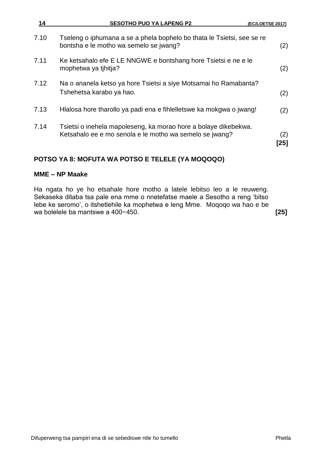| 14   | <b>SESOTHO PUO YA LAPENG P2</b>                                                                                            | (EC/LOETSE 2017) |
|------|----------------------------------------------------------------------------------------------------------------------------|------------------|
| 7.10 | Tseleng o iphumana a se a phela bophelo bo thata le Tsietsi, see se re<br>bontsha e le motho wa semelo se jwang?           | (2)              |
| 7.11 | Ke ketsahalo efe E LE NNGWE e bontshang hore Tsietsi e ne e le<br>mophetwa ya tihitja?                                     | (2)              |
| 7.12 | Na o ananela ketso ya hore Tsietsi a siye Motsamai ho Ramabanta?<br>Tshehetsa karabo ya hao.                               | (2)              |
| 7.13 | Hlalosa hore tharollo ya padi ena e fihielletswe ka mokgwa o jwang!                                                        | (2)              |
| 7.14 | Tsietsi o inehela mapoleseng, ka morao hore a bolaye dikebekwa.<br>Ketsahalo ee e mo senola e le motho wa semelo se jwang? | (2)<br>[25]      |

# **POTSO YA 8: MOFUTA WA POTSO E TELELE (YA MOQOQO)**

# **MME – NP Maake**

Ha ngata ho ye ho etsahale hore motho a latele lebitso leo a le reuweng. Sekaseka ditaba tsa pale ena mme o nnetefatse maele a Sesotho a reng 'bitso lebe ke seromo', o itshetlehile ka mophetwa e leng Mme. Moqoqo wa hao e be wa bolelele ba mantswe a 400−450. **[25]**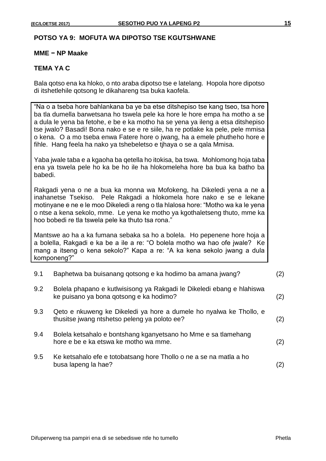## **POTSO YA 9: MOFUTA WA DIPOTSO TSE KGUTSHWANE**

### **MME − NP Maake**

#### **TEMA YA C**

Bala qotso ena ka hloko, o nto araba dipotso tse e latelang. Hopola hore dipotso di itshetlehile qotsong le dikahareng tsa buka kaofela.

|         | "Na o a tseba hore bahlankana ba ye ba etse ditshepiso tse kang tseo, tsa hore<br>ba tla dumella barwetsana ho tswela pele ka hore le hore empa ha motho a se<br>a dula le yena ba fetohe, e be e ka motho ha se yena ya ileng a etsa ditshepiso<br>tse jwalo? Basadi! Bona nako e se e re siile, ha re potlake ka pele, pele mmisa<br>o kena. O a mo tseba enwa Fatere hore o jwang, ha a emele phutheho hore e<br>fihle. Hang feela ha nako ya tshebeletso e tjhaya o se a qala Mmisa. |     |
|---------|------------------------------------------------------------------------------------------------------------------------------------------------------------------------------------------------------------------------------------------------------------------------------------------------------------------------------------------------------------------------------------------------------------------------------------------------------------------------------------------|-----|
| babedi. | Yaba jwale taba e a kgaoha ba qetella ho itokisa, ba tswa. Mohlomong hoja taba<br>ena ya tswela pele ho ka be ho ile ha hlokomeleha hore ba bua ka batho ba                                                                                                                                                                                                                                                                                                                              |     |
|         | Rakgadi yena o ne a bua ka monna wa Mofokeng, ha Dikeledi yena a ne a<br>inahanetse Tsekiso. Pele Rakgadi a hlokomela hore nako e se e lekane<br>motinyane e ne e le moo Dikeledi a reng o tla hialosa hore: "Motho wa ka le yena<br>o ntse a kena sekolo, mme. Le yena ke motho ya kgothaletseng thuto, mme ka<br>hoo bobedi re tla tswela pele ka thuto tsa rona."                                                                                                                     |     |
|         | Mantswe ao ha a ka fumana sebaka sa ho a bolela. Ho pepenene hore hoja a<br>a bolella, Rakgadi e ka be a ile a re: "O bolela motho wa hao ofe jwale? Ke<br>mang a itseng o kena sekolo?" Kapa a re: "A ka kena sekolo jwang a dula<br>komponeng?"                                                                                                                                                                                                                                        |     |
| 9.1     | Baphetwa ba buisanang qotsong e ka hodimo ba amana jwang?                                                                                                                                                                                                                                                                                                                                                                                                                                | (2) |
| 9.2     | Bolela phapano e kutlwisisong ya Rakgadi le Dikeledi ebang e hlahiswa<br>ke puisano ya bona qotsong e ka hodimo?                                                                                                                                                                                                                                                                                                                                                                         | (2) |
| 9.3     | Qeto e nkuweng ke Dikeledi ya hore a dumele ho nyalwa ke Thollo, e<br>thusitse jwang ntshetso peleng ya poloto ee?                                                                                                                                                                                                                                                                                                                                                                       | (2) |
| 9.4     | Bolela ketsahalo e bontshang kganyetsano ho Mme e sa tlamehang<br>hore e be e ka etswa ke motho wa mme.                                                                                                                                                                                                                                                                                                                                                                                  | (2) |
| 9.5     | Ke ketsahalo efe e totobatsang hore Thollo o ne a se na matla a ho<br>busa lapeng la hae?                                                                                                                                                                                                                                                                                                                                                                                                | (2) |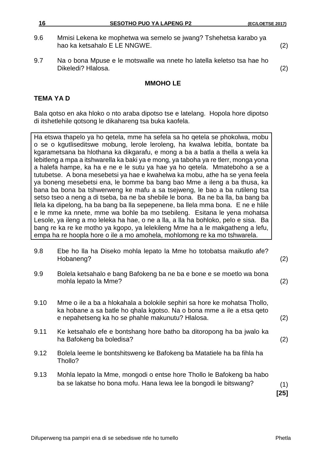- 9.6 Mmisi Lekena ke mophetwa wa semelo se jwang? Tshehetsa karabo ya hao ka ketsahalo E LE NNGWE. (2)
- 9.7 Na o bona Mpuse e le motswalle wa nnete ho latella keletso tsa hae ho Dikeledi? Hlalosa. (2)

# **TEMA YA D**

Bala qotso en aka hloko o nto araba dipotso tse e latelang. Hopola hore dipotso di itshetlehile qotsong le dikahareng tsa buka kaofela.

Ha etswa thapelo ya ho qetela, mme ha sefela sa ho qetela se phokolwa, mobu o se o kgutliseditswe mobung, lerole leroleng, ha kwalwa lebitla, bontate ba kgarametsana ba hlothana ka dikgarafu, e mong a ba a batla a thella a wela ka lebitleng a mpa a itshwarella ka baki ya e mong, ya taboha ya re tlerr, monga yona a halefa hampe, ka ha e ne e le sutu ya hae ya ho qetela. Mmateboho a se a tutubetse. A bona mesebetsi ya hae e kwahelwa ka mobu, athe ha se yena feela ya boneng mesebetsi ena, le bomme ba bang bao Mme a ileng a ba thusa, ka bana ba bona ba tshwerweng ke mafu a sa tsejweng, le bao a ba rutileng tsa setso tseo a neng a di tseba, ba ne ba shebile le bona. Ba ne ba lla, ba bang ba llela ka dipelong, ha ba bang ba lla sepepenene, ba llela mma bona. E ne e hlile e le mme ka nnete, mme wa bohle ba mo tsebileng. Esitana le yena mohatsa Lesole, ya ileng a mo leleka ha hae, o ne a lla, a lla ha bohloko, pelo e sisa. Ba bang re ka re ke motho ya kgopo, ya lelekileng Mme ha a le makgatheng a lefu, empa ha re hoopla hore o ile a mo amohela, mohlomong re ka mo tshwarela.

- 9.8 Ebe ho lla ha Diseko mohla lepato la Mme ho totobatsa maikutlo afe? Hobaneng? (2)
- 9.9 Bolela ketsahalo e bang Bafokeng ba ne ba e bone e se moetlo wa bona mohla lepato la Mme? (2)
- 9.10 Mme o ile a ba a hlokahala a bolokile sephiri sa hore ke mohatsa Thollo, ka hobane a sa batle ho qhala kgotso. Na o bona mme a ile a etsa qeto e nepahetseng ka ho se phahle makunutu? Hlalosa. (2)
- 9.11 Ke ketsahalo efe e bontshang hore batho ba ditoropong ha ba jwalo ka ha Bafokeng ba boledisa? (2)
- 9.12 Bolela leeme le bontshitsweng ke Bafokeng ba Matatiele ha ba fihla ha Thollo?
- 9.13 Mohla lepato la Mme, mongodi o entse hore Thollo le Bafokeng ba habo ba se lakatse ho bona mofu. Hana lewa lee la bongodi le bitswang? (1)

**[25]**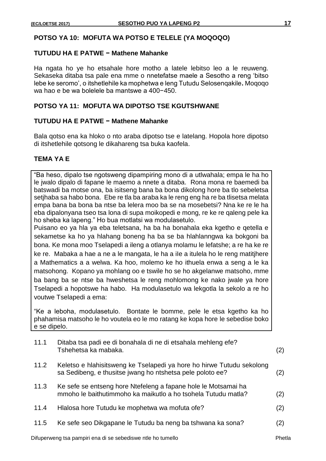# **POTSO YA 10: MOFUTA WA POTSO E TELELE (YA MOQOQO)**

#### **TUTUDU HA E PATWE − Mathene Mahanke**

Ha ngata ho ye ho etsahale hore motho a latele lebitso leo a le reuweng. Sekaseka ditaba tsa pale ena mme o nnetefatse maele a Sesotho a reng 'bitso lebe ke seromo', o itshetlehile ka mophetwa e leng Tutudu Selosenqakile**.** Moqoqo wa hao e be wa bolelele ba mantswe a 400−450.

# **POTSO YA 11: MOFUTA WA DIPOTSO TSE KGUTSHWANE**

#### **TUTUDU HA E PATWE − Mathene Mahanke**

Bala qotso ena ka hloko o nto araba dipotso tse e latelang. Hopola hore dipotso di itshetlehile qotsong le dikahareng tsa buka kaofela.

#### **TEMA YA E**

"Ba heso, dipalo tse ngotsweng dipampiring mono di a utlwahala; empa le ha ho le jwalo dipalo di fapane le maemo a nnete a ditaba. Rona mona re baemedi ba batswadi ba motse ona, ba isitseng bana ba bona dikolong hore ba tlo sebeletsa setjhaba sa habo bona. Ebe re tla ba araba ka le reng eng ha re ba tlisetsa melata empa bana ba bona ba ntse ba lelera moo ba se na mosebetsi? Nna ke re le ha eba dipalonyana tseo tsa lona di supa moikopedi e mong, re ke re qaleng pele ka ho sheba ka lapeng." Ho bua motlatsi wa modulasetulo.

Puisano eo ya hla ya eba teletsana, ha ba ha bonahala eka kgetho e qetella e sekametse ka ho ya hlahang boneng ha ba se ba hlahlanngwa ka bokgoni ba bona. Ke mona moo Tselapedi a ileng a otlanya molamu le lefatshe; a re ha ke re ke re. Mabaka a hae a ne a le mangata, le ha a iIe a itulela ho le reng matitjhere a Mathematics a a welwa. Ka hoo, molemo ke ho ithuela enwa a seng a le ka matsohong. Kopano ya mohlang oo e tswile ho se ho akgelanwe matsoho, mme ba bang ba se ntse ba hweshetsa le reng mohlomong ke nako jwale ya hore Tselapedi a hopotswe ha habo. Ha modulasetulo wa lekgotla la sekolo a re ho voutwe Tselapedi a ema:

"Ke a leboha, modulasetulo. Bontate le bomme, pele le etsa kgetho ka ho phahamisa matsoho le ho voutela eo le mo ratang ke kopa hore le sebedise boko e se dipelo.

| 11.1 | Ditaba tsa padi ee di bonahala di ne di etsahala mehleng efe?<br>Tshehetsa ka mabaka.                                              | (2) |
|------|------------------------------------------------------------------------------------------------------------------------------------|-----|
| 11.2 | Keletso e hlahisitsweng ke Tselapedi ya hore ho hirwe Tutudu sekolong<br>sa Sedibeng, e thusitse jwang ho ntshetsa pele poloto ee? | (2) |
| 11.3 | Ke sefe se entseng hore Ntefeleng a fapane hole le Motsamai ha<br>mmoho le baithutimmoho ka maikutlo a ho tsohela Tutudu matla?    | (2) |
| 11.4 | Hlalosa hore Tutudu ke mophetwa wa mofuta ofe?                                                                                     | (2) |
| 11.5 | Ke sefe seo Dikgapane le Tutudu ba neng ba tshwana ka sona?                                                                        | (2) |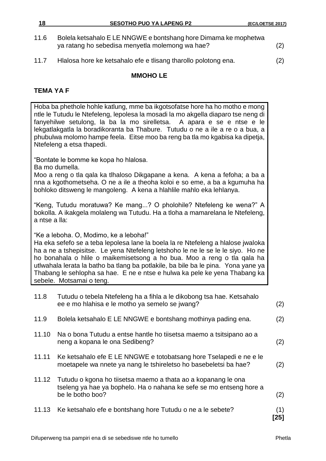- 11.6 Bolela ketsahalo E LE NNGWE e bontshang hore Dimama ke mophetwa ya ratang ho sebedisa menyetla molemong wa hae? (2)
- 11.7 Hlalosa hore ke ketsahalo efe e tlisang tharollo polotong ena. (2)

# **TEMA YA F**

Hoba ba phethole hohle katlung, mme ba ikgotsofatse hore ha ho motho e mong ntle le Tutudu le Ntefeleng, lepolesa la mosadi la mo akgella diaparo tse neng di fanyehilwe setulong, la ba la mo sirelletsa. A apara e se e ntse e le lekgatlakgatla la boradikoranta ba Thabure. Tutudu o ne a ile a re o a bua, a phubulwa molomo hampe feela. Eitse moo ba reng ba tla mo kgabisa ka dipetja, Ntefeleng a etsa thapedi. "Bontate le bomme ke kopa ho hlalosa. Ba mo dumella. Moo a reng o tla qala ka tlhaloso Dikgapane a kena. A kena a fefoha; a ba a nna a kgothometseha. O ne a ile a theoha koloi e so eme, a ba a kgumuha ha bohloko ditsweng le mangoleng. A kena a hlahlile mahlo eka lehlanya. "Keng, Tutudu moratuwa? Ke mang...? O pholohile? Ntefeleng ke wena?" A bokolla. A ikakgela molaleng wa Tutudu. Ha a tloha a mamarelana le Ntefeleng, a ntse a lla: "Ke a leboha. O, Modimo, ke a leboha!" Ha eka sefefo se a teba lepolesa lane la boela la re Ntefeleng a hlalose jwaloka ha a ne a tshepisitse. Le yena Ntefeleng letshoho le ne le se le le siyo. Ho ne ho bonahala o hlile o maikemisetsong a ho bua. Moo a reng o tla qala ha utlwahala lerata la batho ba tlang ba potlakile, ba bile ba le pina. Yona yane ya Thabang le sehlopha sa hae. E ne e ntse e hulwa ka pele ke yena Thabang ka sebele. Motsamai o teng. 11.8 Tutudu o tebela Ntefeleng ha a fihla a le dikobong tsa hae. Ketsahalo ee e mo hlahisa e le motho ya semelo se jwang? (2)

11.10 Na o bona Tutudu a entse hantle ho tiisetsa maemo a tsitsipano ao a neng a kopana le ona Sedibeng? (2)

11.9 Bolela ketsahalo E LE NNGWE e bontshang mothinya pading ena. (2)

- 11.11 Ke ketsahalo efe E LE NNGWE e totobatsang hore Tselapedi e ne e le moetapele wa nnete ya nang le tshireletso ho basebeletsi ba hae? (2)
- 11.12 Tutudu o kgona ho tiisetsa maemo a thata ao a kopanang le ona tseleng ya hae ya bophelo. Ha o nahana ke sefe se mo entseng hore a be le botho boo? (2)
- 11.13 Ke ketsahalo efe e bontshang hore Tutudu o ne a le sebete? (1) **[25]**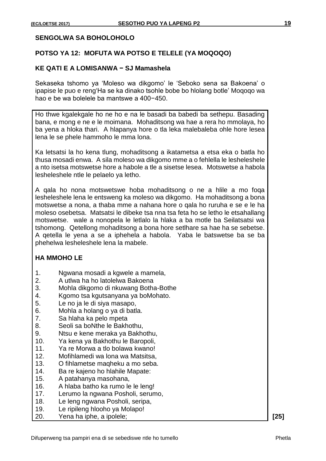# **SENGOLWA SA BOHOLOHOLO**

## **POTSO YA 12: MOFUTA WA POTSO E TELELE (YA MOQOQO)**

#### **KE QATI E A LOMISANWA − SJ Mamashela**

Sekaseka tshomo ya 'Moleso wa dikgomo' le 'Seboko sena sa Bakoena' o ipapise le puo e reng'Ha se ka dinako tsohle bobe bo hlolang botle' Moqoqo wa hao e be wa bolelele ba mantswe a 400−450.

Ho thwe kgalekgale ho ne ho e na le basadi ba babedi ba sethepu. Basading bana, e mong e ne e le moimana. Mohaditsong wa hae a rera ho mmolaya, ho ba yena a hloka thari. A hlapanya hore o tla leka malebaleba ohle hore lesea lena le se phele hammoho le mma lona.

Ka letsatsi la ho kena tlung, mohaditsong a ikatametsa a etsa eka o batla ho thusa mosadi enwa. A sila moleso wa dikgomo mme a o fehlella le lesheleshele a nto isetsa motswetse hore a habole a tle a sisetse lesea. Motswetse a habola lesheleshele ntle le pelaelo ya letho.

A qala ho nona motswetswe hoba mohaditsong o ne a hlile a mo foqa lesheleshele lena le entsweng ka moleso wa dikgomo. Ha mohaditsong a bona motswetse a nona, a thaba mme a nahana hore o qala ho ruruha e se e le ha moleso osebetsa. Matsatsi le dibeke tsa nna tsa feta ho se letho le etsahallang motswetse. wale a nonopela le letlalo la hlaka a ba motle ba Seilatsatsi wa tshomong. Qetellong mohaditsong a bona hore setlhare sa hae ha se sebetse. A qetella le yena a se a iphehela a habola. Yaba le batswetse ba se ba phehelwa lesheleshele lena la mabele.

## **HA MMOHO LE**

- 1. Ngwana mosadi a kgwele a mamela,
- 2. A utlwa ha ho latolelwa Bakoena
- 3. Mohla dikgomo di nkuwang Botha-Bothe
- 4. Kgomo tsa kgutsanyana ya boMohato.
- 5. Le no ja le di siya masapo,
- 6. Mohla a holang o ya di batla.
- 7. Sa hlaha ka pelo mpeta
- 8. Seoli sa boNthe le Bakhothu,
- 9. Ntsu e kene meraka ya Bakhothu,
- 10. Ya kena ya Bakhothu le Baropoli,
- 11. Ya re Morwa a tlo bolawa kwano!
- 12. Mofihlamedi wa lona wa Matsitsa,
- 13. O fihlametse maqheku a mo seba.
- 14. Ba re kajeno ho hlahile Mapate:
- 15. A patahanya masohana,
- 16. A hlaba batho ka rumo le le leng!
- 17. Lerumo la ngwana Posholi, serumo,
- 18. Le leng ngwana Posholi, seripa,
- 19. Le ripileng hlooho ya Molapo!
- 20. Yena ha iphe, a ipolele; **[25]**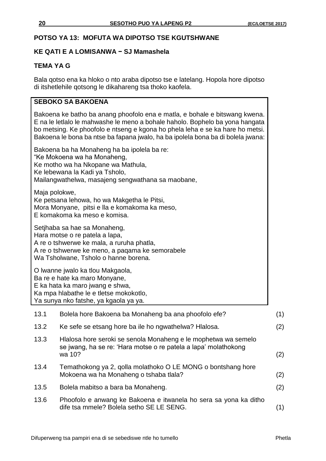# **POTSO YA 13: MOFUTA WA DIPOTSO TSE KGUTSHWANE**

# **KE QATI E A LOMISANWA − SJ Mamashela**

# **TEMA YA G**

Bala qotso ena ka hloko o nto araba dipotso tse e latelang. Hopola hore dipotso di itshetlehile qotsong le dikahareng tsa thoko kaofela.

# **SEBOKO SA BAKOENA**

Bakoena ke batho ba anang phoofolo ena e matla, e bohale e bitswang kwena. E na le letlalo le mahwashe le meno a bohale haholo. Bophelo ba yona hangata bo metsing. Ke phoofolo e ntseng e kgona ho phela leha e se ka hare ho metsi. Bakoena le bona ba ntse ba fapana jwalo, ha ba ipolela bona ba di bolela jwana:

Bakoena ba ha Monaheng ha ba ipolela ba re: "Ke Mokoena wa ha Monaheng, Ke motho wa ha Nkopane wa Mathula, Ke lebewana la Kadi ya Tsholo, Mailangwathelwa, masajeng sengwathana sa maobane, Maja polokwe,

Ke petsana lehowa, ho wa Makgetha le Pitsi, Mora Monyane, pitsi e lla e komakoma ka meso, E komakoma ka meso e komisa.

Setjhaba sa hae sa Monaheng, Hara motse o re patela a lapa, A re o tshwerwe ke mala, a ruruha phatla, A re o tshwerwe ke meno, a paqama ke semorabele Wa Tsholwane, Tsholo o hanne borena.

O lwanne jwalo ka tlou Makgaola, Ba re e hate ka maro Monyane, E ka hata ka maro jwang e shwa, Ka mpa hlabathe le e tletse mokokotlo, Ya sunya nko fatshe, ya kgaola ya ya.

| 13.1 | Bolela hore Bakoena ba Monaheng ba ana phoofolo efe?                                                                                        | (1) |
|------|---------------------------------------------------------------------------------------------------------------------------------------------|-----|
| 13.2 | Ke sefe se etsang hore ba ile ho ngwathelwa? Hialosa.                                                                                       | (2) |
| 13.3 | Hlalosa hore seroki se senola Monaheng e le mophetwa wa semelo<br>se jwang, ha se re: 'Hara motse o re patela a lapa' molathokong<br>wa 10? | (2) |
| 13.4 | Temathokong ya 2, golla molathoko O LE MONG o bontshang hore<br>Mokoena wa ha Monaheng o tshaba tlala?                                      | (2) |
| 13.5 | Bolela mabitso a bara ba Monaheng.                                                                                                          | (2) |
| 13.6 | Phoofolo e anwang ke Bakoena e itwanela ho sera sa yona ka ditho<br>dife tsa mmele? Bolela setho SE LE SENG.                                |     |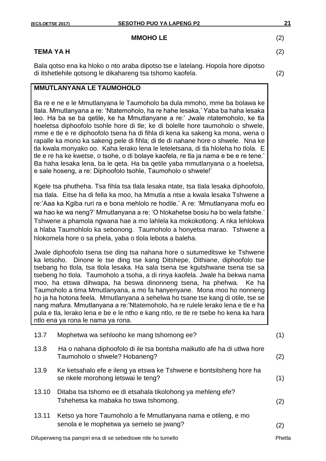#### **MMOHO LE** (2)

# **TEMA YA H** (2)

Bala qotso ena ka hloko o nto araba dipotso tse e latelang. Hopola hore dipotso di itshetlehile qotsong le dikahareng tsa tshomo kaofela. (2)

# **MMUTLANYANA LE TAUMOHOLO**

Ba re e ne e le Mmutlanyana le Taumoholo ba dula mmoho, mme ba bolawa ke tlala. Mmutlanyana a re: 'Ntatemoholo, ha re hahe lesaka,' Yaba ba haha lesaka leo. Ha ba se ba qetile, ke ha Mmutlanyane a re:' Jwale ntatemoholo, ke tla hoeletsa diphoofolo tsohle hore di tle; ke di bolelle hore taumoholo o shwele, mme e tle e re diphoofolo tsena ha di fihla di kena ka sakeng ka mona, wena o rapalle ka mono ka sakeng pele di fihla; di tle di nahane hore o shwele. Nna ke tla kwala monyako oo. Kaha lerako lena le leteletsana, di tla hloleha ho tlola. E tle e re ha ke kwetse, o tsohe, o di bolaye kaofela, re tla ja nama e be e re tene.' Ba haha lesaka lena, ba le qeta. Ha ba qetile yaba mmutlanyana o a hoeletsa, e sale hoseng, a re: Diphoofolo tsohle, Taumoholo o shwele!'

Kgele tsa phutheha. Tsa fihla tsa tlala lesaka ntate, tsa tlala lesaka diphoofolo, tsa tlala. Eitse ha di fella ka moo, ha Mmutla a ntse a kwala lesaka Tshwene a re:'Aaa ka Kgiba ruri ra e bona mehlolo re hodile.' A re: 'Mmutlanyana mofu eo wa hao ke wa neng?' Mmutlanyana a re: 'O hlokahetse bosiu ha bo wela fatshe.' Tshwene a phamola ngwana hae a mo lahlela ka mokokotlong. A nka lehlokwa a hlaba Taumohlolo ka sebonong. Taumoholo a honyetsa marao. Tshwene a hlokomela hore o sa phela, yaba o tlola lebota a baleha.

Jwale diphoofolo tsena tse ding tsa nahana hore o sutumeditswe ke Tshwene ka letsoho. Dinone le tse ding tse kang Ditshepe, Dithiane, diphoofolo tse tsebang ho tlola, tsa tlola lesaka. Ha sala tsena tse kgutshwane tsena tse sa tsebeng ho tlola. Taumoholo a tsoha, a di rinya kaofela. Jwale ha bekwa nama moo, ha etswa dihwapa, ha beswa dinonneng tsena, ha phehwa. Ke ha Taumoholo a tima Mmutlanyana, a mo fa hanyenyane. Mona moo ho nonneng ho ja ha hotona feela. Mmutlanyana a sehelwa ho tsane tse kang di otile, tse se nang mafura. Mmutlanyana a re:'Ntatemoholo, ha re rulele lerako lena e tle e ha pula e tla, lerako lena e be e le ntho e kang ntlo, re tle re tsebe ho kena ka hara ntlo ena ya rona le nama ya rona.

| 13.7  | Mophetwa wa sehlooho ke mang tshomong ee?                                                                 | (1) |
|-------|-----------------------------------------------------------------------------------------------------------|-----|
| 13.8  | Ha o nahana diphoofolo di ile tsa bontsha maikutlo afe ha di utlwa hore<br>Taumoholo o shwele? Hobaneng?  | (2) |
| 13.9  | Ke ketsahalo efe e ileng ya etswa ke Tshwene e bontsitsheng hore ha<br>se nkele morohong letswai le teng? | (1) |
| 13.10 | Ditaba tsa tshomo ee di etsahala tikolohong ya mehleng efe?<br>Tshehetsa ka mabaka ho tswa tshomong.      | (2) |
| 13.11 | Ketso ya hore Taumoholo a fe Mmutlanyana nama e otileng, e mo<br>senola e le mophetwa ya semelo se jwang? | (2) |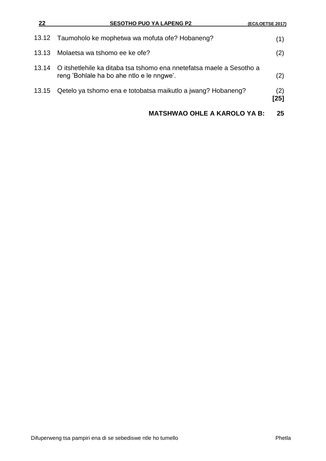| 22 | <b>SESOTHO PUO YA LAPENG P2</b>                                                                                         | (EC/LOETSE 2017) |
|----|-------------------------------------------------------------------------------------------------------------------------|------------------|
|    | 13.12 Taumoholo ke mophetwa wa mofuta ofe? Hobaneng?                                                                    | (1)              |
|    | 13.13 Molaetsa wa tshomo ee ke ofe?                                                                                     | (2)              |
|    | 13.14 O itshetlehile ka ditaba tsa tshomo ena nnetefatsa maele a Sesotho a<br>reng 'Bohlale ha bo ahe ntlo e le nngwe'. | (2)              |
|    | 13.15 Qetelo ya tshomo ena e totobatsa maikutlo a jwang? Hobaneng?                                                      | (2)<br>$[25]$    |
|    | <b>MATSHWAO OHLE A KAROLO YA B:</b>                                                                                     | 25               |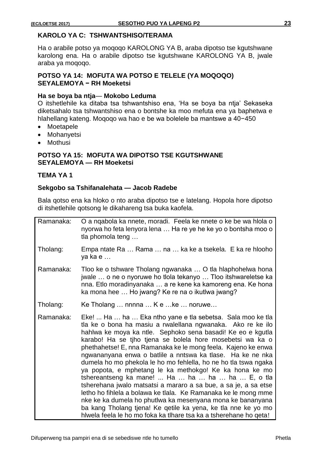## **KAROLO YA C: TSHWANTSHISO/TERAMA**

Ha o arabile potso ya moqoqo KAROLONG YA B, araba dipotso tse kgutshwane karolong ena. Ha o arabile dipotso tse kgutshwane KAROLONG YA B, jwale araba ya moqoqo.

#### **POTSO YA 14: MOFUTA WA POTSO E TELELE (YA MOQOQO) SEYALEMOYA − RH Moeketsi**

# **Ha se boya ba ntja**— **Mokobo Leduma**

O itshetlehile ka ditaba tsa tshwantshiso ena, 'Ha se boya ba ntja' Sekaseka diketsahalo tsa tshwantshiso ena o bontshe ka moo mefuta ena ya baphetwa e hlahellang kateng. Moqoqo wa hao e be wa bolelele ba mantswe a 40−450

- Moetapele
- Mohanyetsi
- Mothusi

## **POTSO YA 15: MOFUTA WA DIPOTSO TSE KGUTSHWANE SEYALEMOYA — RH Moeketsi**

#### **TEMA YA 1**

## **Sekgobo sa Tshifanalehata — Jacob Radebe**

Bala qotso ena ka hloko o nto araba dipotso tse e latelang. Hopola hore dipotso di itshetlehile qotsong le dikahareng tsa buka kaofela.

| Ramanaka: | O a ngabola ka nnete, moradi. Feela ke nnete o ke be wa hlola o<br>nyorwa ho feta lenyora lena  Ha re ye he ke yo o bontsha moo o<br>tla phomola teng                                                                                                                                                                                                                                                                                                                                                                                                                                                                                                                                                                                                                                                                                                                                                            |
|-----------|------------------------------------------------------------------------------------------------------------------------------------------------------------------------------------------------------------------------------------------------------------------------------------------------------------------------------------------------------------------------------------------------------------------------------------------------------------------------------------------------------------------------------------------------------------------------------------------------------------------------------------------------------------------------------------------------------------------------------------------------------------------------------------------------------------------------------------------------------------------------------------------------------------------|
| Tholang:  | Empa ntate Ra  Rama  na  ka ke a tsekela. E ka re hlooho<br>ya ka e                                                                                                                                                                                                                                                                                                                                                                                                                                                                                                                                                                                                                                                                                                                                                                                                                                              |
| Ramanaka: | Tloo ke o tshware Tholang ngwanaka  O tla hlaphohelwa hona<br>jwale  o ne o nyoruwe ho tlola tekanyo  Tloo itshwareletse ka<br>nna. Etlo moradinyanaka  a re kene ka kamoreng ena. Ke hona<br>ka mona hee  Ho jwang? Ke re na o ikutlwa jwang?                                                                                                                                                                                                                                                                                                                                                                                                                                                                                                                                                                                                                                                                   |
| Tholang:  | Ke Tholang  nnnna  K e  ke  noruwe                                                                                                                                                                                                                                                                                                                                                                                                                                                                                                                                                                                                                                                                                                                                                                                                                                                                               |
| Ramanaka: | Eke!  Ha  ha  Eka ntho yane e tla sebetsa. Sala moo ke tla<br>tla ke o bona ha masiu a rwalellana ngwanaka. Ako re ke ilo<br>hahlwa ke moya ka ntle. Sephoko sena basadi! Ke eo e kgutla<br>karabo! Ha se tjho tjena se bolela hore mosebetsi wa ka o<br>phethahetse! E, nna Ramanaka ke le mong feela. Kajeno ke enwa<br>ngwananyana enwa o batlile a nntswa ka tlase. Ha ke ne nka<br>dumela ho mo phekola le ho mo fehlella, ho ne ho tla tswa ngaka<br>ya popota, e mphetang le ka methokgo! Ke ka hona ke mo<br>tshereantseng ka mane!  Ha  ha  ha  ha $E$ , o tla<br>tsherehana jwalo matsatsi a mararo a sa bue, a sa je, a sa etse<br>letho ho fihlela a bolawa ke tlala. Ke Ramanaka ke le mong mme<br>nke ke ka dumela ho phutlwa ka mesenyana mona ke bananyana<br>ba kang Tholang tjena! Ke qetile ka yena, ke tla nne ke yo mo<br>hiwela feela le ho mo foka ka tihare tsa ka a tsherehane ho qeta! |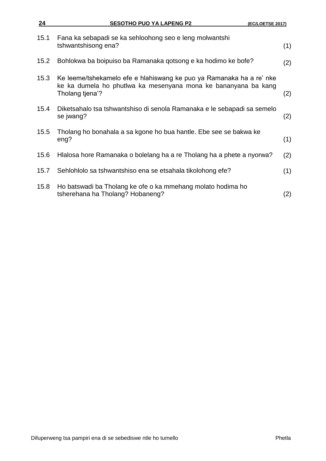| 24   | <b>SESOTHO PUO YA LAPENG P2</b><br>(EC/LOETSE 2017)                                                                                                       |     |
|------|-----------------------------------------------------------------------------------------------------------------------------------------------------------|-----|
| 15.1 | Fana ka sebapadi se ka sehloohong seo e leng molwantshi<br>tshwantshisong ena?                                                                            | (1) |
| 15.2 | Bohlokwa ba boipuiso ba Ramanaka gotsong e ka hodimo ke bofe?                                                                                             | (2) |
| 15.3 | Ke leeme/tshekamelo efe e hlahiswang ke puo ya Ramanaka ha a re' nke<br>ke ka dumela ho phutlwa ka mesenyana mona ke bananyana ba kang<br>Tholang tiena'? | (2) |
| 15.4 | Diketsahalo tsa tshwantshiso di senola Ramanaka e le sebapadi sa semelo<br>se jwang?                                                                      | (2) |
| 15.5 | Tholang ho bonahala a sa kgone ho bua hantle. Ebe see se bakwa ke<br>eng?                                                                                 | (1) |
| 15.6 | Hlalosa hore Ramanaka o bolelang ha a re Tholang ha a phete a nyorwa?                                                                                     | (2) |
| 15.7 | Sehlohlolo sa tshwantshiso ena se etsahala tikolohong efe?                                                                                                | (1) |
| 15.8 | Ho batswadi ba Tholang ke ofe o ka mmehang molato hodima ho<br>tsherehana ha Tholang? Hobaneng?                                                           | (2) |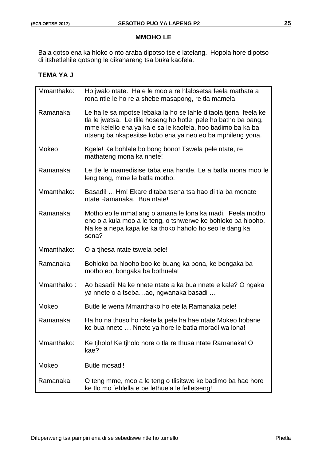Bala qotso ena ka hloko o nto araba dipotso tse e latelang. Hopola hore dipotso di itshetlehile qotsong le dikahareng tsa buka kaofela.

# **TEMA YA J**

| Mmanthako: | Ho jwalo ntate. Ha e le moo a re hialosetsa feela mathata a<br>rona ntle le ho re a shebe masapong, re tla mamela.                                                                                                                                             |
|------------|----------------------------------------------------------------------------------------------------------------------------------------------------------------------------------------------------------------------------------------------------------------|
| Ramanaka:  | Le ha le sa mpotse lebaka la ho se lahle ditaola tjena, feela ke<br>tla le jwetsa. Le tille hoseng ho hotle, pele ho batho ba bang,<br>mme kelello ena ya ka e sa le kaofela, hoo badimo ba ka ba<br>ntseng ba nkapesitse kobo ena ya neo eo ba mphileng yona. |
| Mokeo:     | Kgele! Ke bohlale bo bong bono! Tswela pele ntate, re<br>mathateng mona ka nnete!                                                                                                                                                                              |
| Ramanaka:  | Le tle le mamedisise taba ena hantle. Le a batla mona moo le<br>leng teng, mme le batla motho.                                                                                                                                                                 |
| Mmanthako: | Basadi!  Hm! Ekare ditaba tsena tsa hao di tla ba monate<br>ntate Ramanaka. Bua ntate!                                                                                                                                                                         |
| Ramanaka:  | Motho eo le mmatlang o amana le Iona ka madi. Feela motho<br>eno o a kula moo a le teng, o tshwerwe ke bohloko ba hlooho.<br>Na ke a nepa kapa ke ka thoko haholo ho seo le tlang ka<br>sona?                                                                  |
| Mmanthako: | O a tihesa ntate tswela pele!                                                                                                                                                                                                                                  |
| Ramanaka:  | Bohloko ba hlooho boo ke buang ka bona, ke bongaka ba<br>motho eo, bongaka ba bothuela!                                                                                                                                                                        |
| Mmanthako: | Ao basadi! Na ke nnete ntate a ka bua nnete e kale? O ngaka<br>ya nnete o a tsebaao, ngwanaka basadi                                                                                                                                                           |
| Mokeo:     | Butle le wena Mmanthako ho etella Ramanaka pele!                                                                                                                                                                                                               |
| Ramanaka:  | Ha ho na thuso ho nketella pele ha hae ntate Mokeo hobane<br>ke bua nnete  Nnete ya hore le batla moradi wa lona!                                                                                                                                              |
| Mmanthako: | Ke tiholo! Ke tiholo hore o tla re thusa ntate Ramanaka! O<br>kae?                                                                                                                                                                                             |
| Mokeo:     | Butle mosadi!                                                                                                                                                                                                                                                  |
| Ramanaka:  | O teng mme, moo a le teng o tlisitswe ke badimo ba hae hore<br>ke tlo mo fehlella e be lethuela le felletseng!                                                                                                                                                 |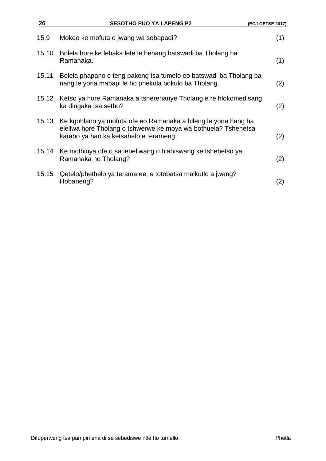| 26    | <b>SESOTHO PUO YA LAPENG P2</b>                                                                                                                                            | (EC/LOETSE 2017) |
|-------|----------------------------------------------------------------------------------------------------------------------------------------------------------------------------|------------------|
| 15.9  | Mokeo ke mofuta o jwang wa sebapadi?                                                                                                                                       | (1)              |
| 15.10 | Bolela hore ke lebaka lefe le behang batswadi ba Tholang ha<br>Ramanaka.                                                                                                   | (1)              |
| 15.11 | Bolela phapano e teng pakeng tsa tumelo eo batswadi ba Tholang ba<br>nang le yona mabapi le ho phekola bokulo ba Tholang.                                                  | (2)              |
|       | 15.12 Ketso ya hore Ramanaka a tsherehanye Tholang e re hlokomedisang<br>ka dingaka tsa setho?                                                                             | (2)              |
| 15.13 | Ke kgohlano ya mofuta ofe eo Ramanaka a bileng le yona hang ha<br>elellwa hore Tholang o tshwerwe ke moya wa bothuela? Tshehetsa<br>karabo ya hao ka ketsahalo e terameng. | (2)              |
| 15.14 | Ke mothinya ofe o sa lebellwang o hlahiswang ke tshebetso ya<br>Ramanaka ho Tholang?                                                                                       | (2)              |
| 15.15 | Qetelo/phethelo ya terama ee, e totobatsa maikutlo a jwang?<br>Hobaneng?                                                                                                   | (2)              |
|       |                                                                                                                                                                            |                  |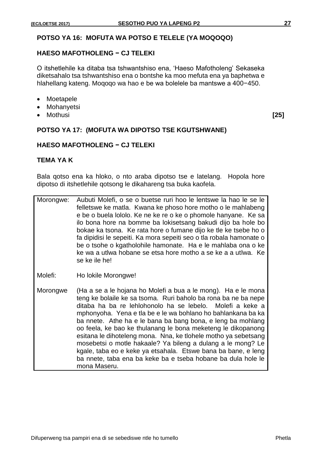# **POTSO YA 16: MOFUTA WA POTSO E TELELE (YA MOQOQO)**

### **HAESO MAFOTHOLENG − CJ TELEKI**

O itshetlehile ka ditaba tsa tshwantshiso ena, 'Haeso Mafotholeng' Sekaseka diketsahalo tsa tshwantshiso ena o bontshe ka moo mefuta ena ya baphetwa e hlahellang kateng. Moqoqo wa hao e be wa bolelele ba mantswe a 400−450.

- Moetapele
- Mohanyetsi
- Mothusi **[25]**

## **POTSO YA 17: (MOFUTA WA DIPOTSO TSE KGUTSHWANE)**

#### **HAESO MAFOTHOLENG − CJ TELEKI**

## **TEMA YA K**

Bala qotso ena ka hloko, o nto araba dipotso tse e latelang. Hopola hore dipotso di itshetlehile qotsong le dikahareng tsa buka kaofela.

- Morongwe: Aubuti Molefi, o se o buetse ruri hoo le lentswe la hao le se le felletswe ke matla. Kwana ke phoso hore motho o le mahlabeng e be o buela lololo. Ke ne ke re o ke o phomole hanyane. Ke sa ilo bona hore na bomme ba lokisetsang bakudi dijo ba hole bo bokae ka tsona. Ke rata hore o fumane dijo ke tle ke tsebe ho o fa dipidisi le sepeiti. Ka mora sepeiti seo o tla robala hamonate o be o tsohe o kgatholohile hamonate. Ha e le mahlaba ona o ke ke wa a utlwa hobane se etsa hore motho a se ke a a utlwa. Ke se ke ile he!
- Molefi: Ho lokile Morongwe!
- Morongwe (Ha a se a le hojana ho Molefi a bua a le mong). Ha e le mona teng ke bolaile ke sa tsoma. Ruri baholo ba rona ba ne ba nepe ditaba ha ba re lehlohonolo ha se lebelo. Molefi a keke a mphonyoha. Yena e tla be e le wa bohlano ho bahlankana ba ka ba nnete. Athe ha e le bana ba bang bona, e leng ba mohlang oo feela, ke bao ke thulanang le bona meketeng le dikopanong esitana le dihoteleng mona. Nna, ke tlohele motho ya sebetsang mosebetsi o motle hakaale? Ya bileng a dulang a le mong? Le kgale, taba eo e keke ya etsahala. Etswe bana ba bane, e leng ba nnete, taba ena ba keke ba e tseba hobane ba dula hole le mona Maseru.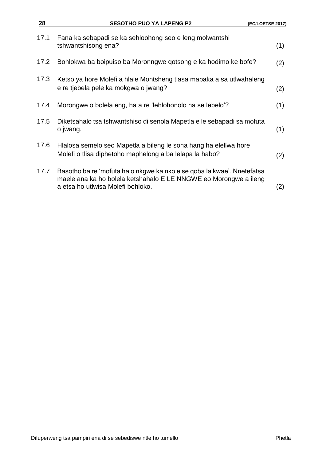| 28   | <b>SESOTHO PUO YA LAPENG P2</b>                                                                                                                                                 | (EC/LOETSE 2017) |
|------|---------------------------------------------------------------------------------------------------------------------------------------------------------------------------------|------------------|
| 17.1 | Fana ka sebapadi se ka sehloohong seo e leng molwantshi<br>tshwantshisong ena?                                                                                                  | (1)              |
| 17.2 | Bohlokwa ba boipuiso ba Moronngwe qotsong e ka hodimo ke bofe?                                                                                                                  | (2)              |
| 17.3 | Ketso ya hore Molefi a hlale Montsheng tlasa mabaka a sa utlwahaleng<br>e re tjebela pele ka mokgwa o jwang?                                                                    | (2)              |
| 17.4 | Morongwe o bolela eng, ha a re 'lehlohonolo ha se lebelo'?                                                                                                                      | (1)              |
| 17.5 | Diketsahalo tsa tshwantshiso di senola Mapetla e le sebapadi sa mofuta<br>o jwang.                                                                                              | (1)              |
| 17.6 | Hlalosa semelo seo Mapetla a bileng le sona hang ha elellwa hore<br>Molefi o tlisa diphetoho maphelong a ba lelapa la habo?                                                     | (2)              |
| 17.7 | Basotho ba re 'mofuta ha o nkgwe ka nko e se qoba la kwae'. Nnetefatsa<br>maele ana ka ho bolela ketshahalo E LE NNGWE eo Morongwe a ileng<br>a etsa ho utlwisa Molefi bohloko. | (2)              |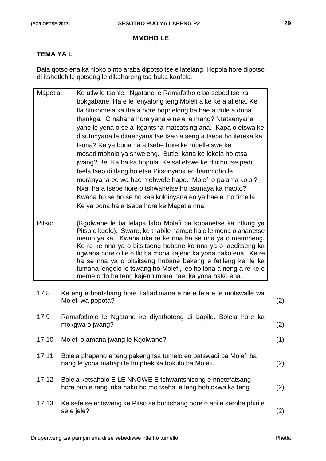## **TEMA YA L**

Bala qotso ena ka hloko o nto araba dipotso tse e latelang. Hopola hore dipotso di itshetlehile qotsong le dikahareng tsa buka kaofela.

| Mapetla: | Ke utlwile tsohle. Ngatane le Ramafothole ba sebeditse ka       |
|----------|-----------------------------------------------------------------|
|          | bokgabane. Ha e le lenyalong teng Molefi a ke ke a atleha. Ke   |
|          | tla hlokomela ka thata hore bophelong ba hae a dule a duba      |
|          | thankga. O nahana hore yena e ne e le mang? Ntataenyana         |
|          | yane le yena o se a ikgantsha matsatsing ana. Kapa o etswa ke   |
|          | disutunyana le ditaenyana tse tseo a seng a tseba ho itereka ka |
|          | tsona? Ke ya bona ha a tsebe hore ke rupelletswe ke             |
|          | mosadimoholo ya shweleng. Butle, kana ke lokela ho etsa         |
|          | jwang? Be! Ka ba ka hopola. Ke salletswe ke dintho tse pedi     |
|          | feela tseo di tlang ho etsa Pitsonyana eo hammoho le            |
|          | moranyana eo wa hae mehwefe hape. Molefi o palama koloi?        |
|          | Nxa, ha a tsebe hore o tshwanetse ho tsamaya ka maoto?          |
|          | Kwana ho se ho se ho kae koloinyana eo ya hae e mo timella.     |
|          | Ke ya bona ha a tsebe hore ke Mapetla nna.                      |
|          |                                                                 |

Pitso: (Kgolwane le ba lelapa labo Molefi ba kopanetse ka ntlung ya Pitso e kgolo). Sware, ke thabile hampe ha e le mona o ananetse memo ya ka. Kwana nka re ke nna ha se nna ya o memmeng. Ke re ke nna ya o bitsitseng hobane ke nna ya o laeditseng ka ngwana hore o tle o tlo ba mona kajeno ka yona nako ena. Ke re ha se nna ya o bitsitseng hobane bekeng e fetileng ke ile ka fumana lengolo le tswang ho Molefi, leo ho lona a neng a re ke o meme o tlo ba teng kajeno mona hae, ka yona nako ena.

| 17.8  | Ke eng e bontshang hore Takadimane e ne e fela e le motswalle wa<br>Molefi wa popota?                                          | (2) |
|-------|--------------------------------------------------------------------------------------------------------------------------------|-----|
| 17.9  | Ramafothole le Ngatane ke diyathoteng di bapile. Bolela hore ka<br>mokgwa o jwang?                                             | (2) |
| 17.10 | Molefi o amana jwang le Kgolwane?                                                                                              | (1) |
| 17.11 | Bolela phapano e teng pakeng tsa tumelo eo batswadi ba Molefi ba<br>nang le yona mabapi le ho phekola bokulo ba Molefi.        | (2) |
| 17.12 | Bolela ketsahalo E LE NNGWE E tshwantshisong e nnetefatsang<br>hore puo e reng 'nka nako ho mo tseba' e leng bohlokwa ka teng. | (2) |

17.13 Ke sefe se entsweng ke Pitso se bontshang hore o ahile serobe phiri e se e jele? (2)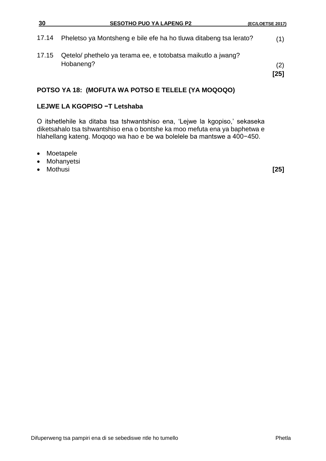| 30    | <b>SESOTHO PUO YA LAPENG P2</b>                                           | (EC/LOETSE 2017) |
|-------|---------------------------------------------------------------------------|------------------|
|       | 17.14 Pheletso ya Montsheng e bile efe ha ho tluwa ditabeng tsa lerato?   | (1)              |
| 17.15 | Qetelo/ phethelo ya terama ee, e totobatsa maikutlo a jwang?<br>Hobaneng? | (2)<br>[25]      |

# **POTSO YA 18: (MOFUTA WA POTSO E TELELE (YA MOQOQO)**

# **LEJWE LA KGOPISO −T Letshaba**

O itshetlehile ka ditaba tsa tshwantshiso ena, 'Lejwe la kgopiso,' sekaseka diketsahalo tsa tshwantshiso ena o bontshe ka moo mefuta ena ya baphetwa e hlahellang kateng. Moqoqo wa hao e be wa bolelele ba mantswe a 400−450.

- Moetapele
- Mohanyetsi<br>• Mothusi
- Mothusi **[25]**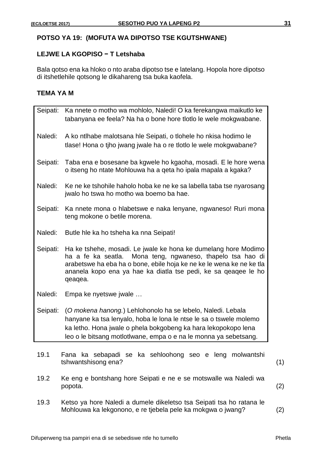# **POTSO YA 19: (MOFUTA WA DIPOTSO TSE KGUTSHWANE)**

#### **LEJWE LA KGOPISO − T Letshaba**

Bala qotso ena ka hloko o nto araba dipotso tse e latelang. Hopola hore dipotso di itshetlehile qotsong le dikahareng tsa buka kaofela.

# **TEMA YA M**

| Seipati: | Ka nnete o motho wa mohlolo, Naledi! O ka ferekangwa maikutlo ke<br>tabanyana ee feela? Na ha o bone hore tlotlo le wele mokgwabane.                                                                                                                                              |
|----------|-----------------------------------------------------------------------------------------------------------------------------------------------------------------------------------------------------------------------------------------------------------------------------------|
| Naledi:  | A ko ntlhabe malotsana hie Seipati, o tiohele ho nkisa hodimo le<br>tlase! Hona o tiho jwang jwale ha o re tlotlo le wele mokgwabane?                                                                                                                                             |
| Seipati: | Taba ena e bosesane ba kgwele ho kgaoha, mosadi. E le hore wena<br>o itseng ho ntate Mohlouwa ha a qeta ho ipala mapala a kgaka?                                                                                                                                                  |
| Naledi:  | Ke ne ke tshohile haholo hoba ke ne ke sa labella taba tse nyarosang<br>jwalo ho tswa ho motho wa boemo ba hae.                                                                                                                                                                   |
| Seipati: | Ka nnete mona o hlabetswe e naka lenyane, ngwaneso! Ruri mona<br>teng mokone o betile morena.                                                                                                                                                                                     |
|          | Naledi: Butle hle ka ho tsheha ka nna Seipati!                                                                                                                                                                                                                                    |
| Seipati: | Ha ke tshehe, mosadi. Le jwale ke hona ke dumelang hore Modimo<br>ha a fe ka seatla. Mona teng, ngwaneso, thapelo tsa hao di<br>arabetswe ha eba ha o bone, ebile hoja ke ne ke le wena ke ne ke tla<br>ananela kopo ena ya hae ka diatla tse pedi, ke sa qeaqee le ho<br>qeaqea. |
| Naledi:  | Empa ke nyetswe jwale                                                                                                                                                                                                                                                             |
| Seipati: | (O mokena hanong.) Lehlohonolo ha se lebelo, Naledi. Lebala<br>hanyane ka tsa lenyalo, hoba le lona le ntse le sa o tswele molemo<br>ka letho. Hona jwale o phela bokgobeng ka hara lekopokopo lena<br>leo o le bitsang motlotlwane, empa o e na le monna ya sebetsang.           |

- 19.1 Fana ka sebapadi se ka sehloohong seo e leng molwantshi tshwantshisong ena? (1)
- 19.2 Ke eng e bontshang hore Seipati e ne e se motswalle wa Naledi wa popota. (2)
- 19.3 Ketso ya hore Naledi a dumele dikeletso tsa Seipati tsa ho ratana le Mohlouwa ka lekgonono, e re tjebela pele ka mokgwa o jwang? (2)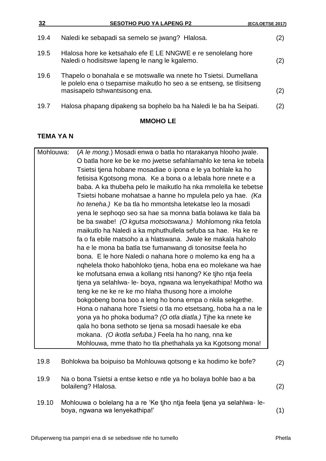| 32   | <b>SESOTHO PUO YA LAPENG P2</b>                                                                                                                                            | (EC/LOETSE 2017) |
|------|----------------------------------------------------------------------------------------------------------------------------------------------------------------------------|------------------|
| 19.4 | Naledi ke sebapadi sa semelo se jwang? Hlalosa.                                                                                                                            | (2)              |
| 19.5 | Hlalosa hore ke ketsahalo efe E LE NNGWE e re senolelang hore<br>Naledi o hodisitswe lapeng le nang le kgalemo.                                                            | (2)              |
| 19.6 | Thapelo o bonahala e se motswalle wa nnete ho Tsietsi. Dumellana<br>le polelo ena o tsepamise maikutlo ho seo a se entseng, se tlisitseng<br>masisapelo tshwantsisong ena. | (2)              |
| 19.7 | Halosa phapang dipakeng sa bophelo ba ha Naledi le ba ha Seipati.                                                                                                          | '2)              |

# **TEMA YA N**

| Mohlouwa: | (A le mong.) Mosadi enwa o batla ho ntarakanya hlooho jwale.   |
|-----------|----------------------------------------------------------------|
|           | O batla hore ke be ke mo jwetse sefahlamahlo ke tena ke tebela |
|           | Tsietsi tjena hobane mosadiae o ipona e le ya bohlale ka ho    |
|           | fetisisa Kgotsong mona. Ke a bona o a lebala hore nnete e a    |
|           | baba. A ka thubeha pelo le maikutlo ha nka mmolella ke tebetse |
|           | Tsietsi hobane mohatsae a hanne ho mpulela pelo ya hae. (Ka    |
|           | ho teneha.) Ke ba tla ho mmontsha letekatse leo la mosadi      |
|           | yena le sephogo seo sa hae sa monna batla bolawa ke tlala ba   |
|           | be ba swabe! (O kgutsa motsotswana.) Mohlomong nka fetola      |
|           | maikutlo ha Naledi a ka mphuthullela sefuba sa hae. Ha ke re   |
|           | fa o fa ebile matsoho a a hlatswana. Jwale ke makala haholo    |
|           | ha e le mona ba batla tse fumanwang di tonositse feela ho      |
|           | bona. E le hore Naledi o nahana hore o molemo ka eng ha a      |
|           | nghelela thoko habohloko tjena, hoba ena eo molekane wa hae    |
|           | ke mofutsana enwa a kollang ntsi hanong? Ke tjho ntja feela    |
|           | tjena ya selahlwa- le- boya, ngwana wa lenyekathipa! Motho wa  |
|           | teng ke ne ke re ke mo hlaha thusong hore a imolohe            |
|           | bokgobeng bona boo a leng ho bona empa o nkila sekgethe.       |
|           | Hona o nahana hore Tsietsi o tla mo etsetsang, hoba ha a na le |
|           | yona ya ho phoka boduma? (O otla diatla.) Tihe ka nnete ke     |
|           | gala ho bona sethoto se tjena sa mosadi haesale ke eba         |
|           | mokana. (O ikotla sefuba.) Feela ha ho nang, nna ke            |
|           | Mohlouwa, mme thato ho tla phethahala ya ka Kgotsong mona!     |

| 19.8  | Bohlokwa ba boipuiso ba Mohlouwa qotsong e ka hodimo ke bofe?                                           | (2) |
|-------|---------------------------------------------------------------------------------------------------------|-----|
| 19.9  | Na o bona Tsietsi a entse ketso e ntle ya ho bolaya bohle bao a ba<br>bolaileng? Hlalosa.               | (2) |
| 19.10 | Mohlouwa o bolelang ha a re 'Ke tiho ntja feela tjena ya selahlwa-le-<br>boya, ngwana wa lenyekathipa!' | (1) |